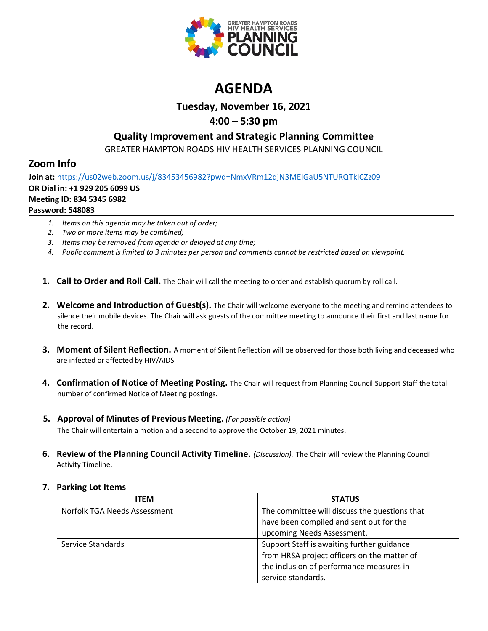

# **AGENDA**

# **Tuesday, November 16, 2021**

# **4:00 – 5:30 pm**

# **Quality Improvement and Strategic Planning Committee**

GREATER HAMPTON ROADS HIV HEALTH SERVICES PLANNING COUNCIL

# **Zoom Info**

**Join at:** <https://us02web.zoom.us/j/83453456982?pwd=NmxVRm12djN3MElGaU5NTURQTklCZz09> **OR Dial in:** +**1 929 205 6099 US Meeting ID: 834 5345 6982 Password: 548083**

- *1. Items on this agenda may be taken out of order;*
- *2. Two or more items may be combined;*
- *3. Items may be removed from agenda or delayed at any time;*
- *4. Public comment is limited to 3 minutes per person and comments cannot be restricted based on viewpoint.*
- **1. Call to Order and Roll Call.** The Chair will call the meeting to order and establish quorum by roll call.
- **2. Welcome and Introduction of Guest(s).** The Chair will welcome everyone to the meeting and remind attendees to silence their mobile devices. The Chair will ask guests of the committee meeting to announce their first and last name for the record.
- **3. Moment of Silent Reflection.** A moment of Silent Reflection will be observed for those both living and deceased who are infected or affected by HIV/AIDS
- **4. Confirmation of Notice of Meeting Posting.** The Chair will request from Planning Council Support Staff the total number of confirmed Notice of Meeting postings.
- **5. Approval of Minutes of Previous Meeting.** *(For possible action)* The Chair will entertain a motion and a second to approve the October 19, 2021 minutes.
- **6. Review of the Planning Council Activity Timeline.** *(Discussion).* The Chair will review the Planning Council Activity Timeline.

| <b>ITEM</b>                  | <b>STATUS</b>                                 |
|------------------------------|-----------------------------------------------|
| Norfolk TGA Needs Assessment | The committee will discuss the questions that |
|                              | have been compiled and sent out for the       |
|                              | upcoming Needs Assessment.                    |
| Service Standards            | Support Staff is awaiting further guidance    |
|                              | from HRSA project officers on the matter of   |
|                              | the inclusion of performance measures in      |
|                              | service standards.                            |

## **7. Parking Lot Items**